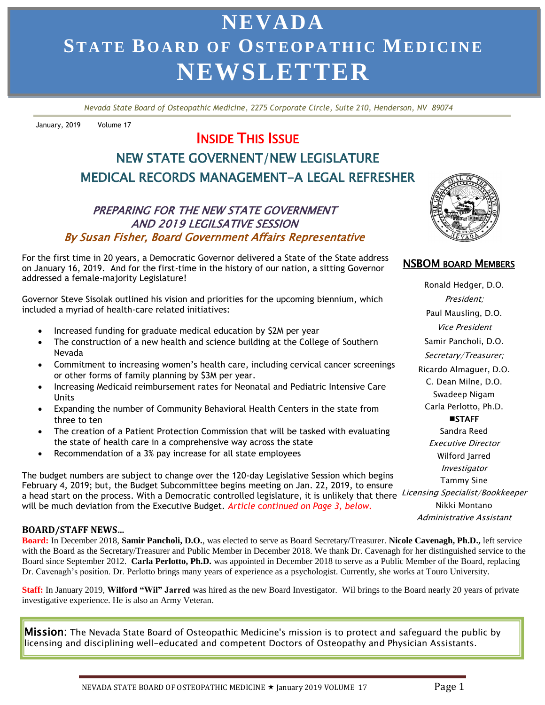# **NEVADA ST AT E BO AR D O F OS TEO P A TH I C ME DI CI N E NEWSLETTER**

 *Nevada State Board of Osteopathic Medicine, 2275 Corporate Circle, Suite 210, Henderson, NV 89074*

January, 2019 Volume 17

# INSIDE THIS ISSUE

# NEW STATE GOVERNENT/NEW LEGISLATURE MEDICAL RECORDS MANAGEMENT-A LEGAL REFRESHER

#### PREPARING FOR THE NEW STATE GOVERNMENT AND 2019 LEGILSATIVE SESSION By Susan Fisher, Board Government Affairs Representative

 For the first time in 20 years, a Democratic Governor delivered a State of the State address on January 16, 2019. And for the first-time in the history of our nation, a sitting Governor addressed a female-majority Legislature!

Governor Steve Sisolak outlined his vision and priorities for the upcoming biennium, which included a myriad of health-care related initiatives:

- Increased funding for graduate medical education by \$2M per year
- The construction of a new health and science building at the College of Southern Nevada
- Commitment to increasing women's health care, including cervical cancer screenings or other forms of family planning by \$3M per year.
- Increasing Medicaid reimbursement rates for Neonatal and Pediatric Intensive Care Units
- Expanding the number of Community Behavioral Health Centers in the state from three to ten
- The creation of a Patient Protection Commission that will be tasked with evaluating the state of health care in a comprehensive way across the state
- Recommendation of a 3% pay increase for all state employees

a head start on the process. With a Democratic controlled legislature, it is unlikely that there Licensing Specialist/Bookkeeper The budget numbers are subject to change over the 120-day Legislative Session which begins February 4, 2019; but, the Budget Subcommittee begins meeting on Jan. 22, 2019, to ensure will be much deviation from the Executive Budget. *Article* c*ontinued on Page 3, below.*

#### **BOARD/STAFF NEWS…**

**Board:** In December 2018, **Samir Pancholi, D.O.**, was elected to serve as Board Secretary/Treasurer. **Nicole Cavenagh, Ph.D.,** left service with the Board as the Secretary/Treasurer and Public Member in December 2018. We thank Dr. Cavenagh for her distinguished service to the Board since September 2012. **Carla Perlotto, Ph.D.** was appointed in December 2018 to serve as a Public Member of the Board, replacing Dr. Cavenagh's position. Dr. Perlotto brings many years of experience as a psychologist. Currently, she works at Touro University.

**Staff:** In January 2019, **Wilford "Wil" Jarred** was hired as the new Board Investigator. Wil brings to the Board nearly 20 years of private investigative experience. He is also an Army Veteran.

Mission: The Nevada State Board of Osteopathic Medicine's mission is to protect and safeguard the public by licensing and disciplining well-educated and competent Doctors of Osteopathy and Physician Assistants.



#### NSBOM BOARD MEMBERS

Ronald Hedger, D.O. President; Paul Mausling, D.O. Vice President Samir Pancholi, D.O. Secretary/Treasurer; Ricardo Almaguer, D.O. C. Dean Milne, D.O. Swadeep Nigam Carla Perlotto, Ph.D. **MISTAFF** Sandra Reed Executive Director Wilford Jarred Investigator Tammy Sine Nikki Montano Administrative Assistant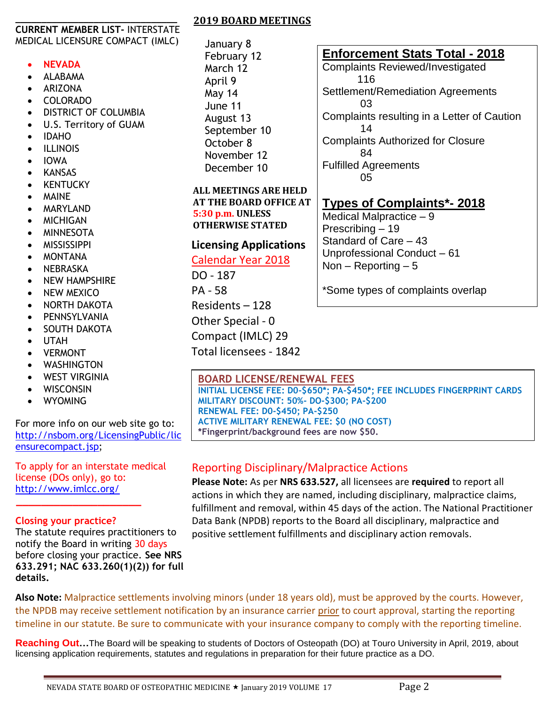#### **\_\_\_\_\_\_\_\_\_\_\_\_\_\_\_\_\_\_\_\_\_\_\_\_\_\_\_\_\_\_\_ CURRENT MEMBER LIST-** INTERSTATE MEDICAL LICENSURE COMPACT (IMLC)

#### **NEVADA**

- ALABAMA
- ARIZONA
- COLORADO
- DISTRICT OF COLUMBIA
- U.S. Territory of GUAM
- IDAHO
- **•** ILLINOIS
- IOWA
- KANSAS
- KENTUCKY
- MAINE
- MARYLAND
- MICHIGAN
- MINNESOTA
- MISSISSIPPI
- MONTANA
- NEBRASKA
- NEW HAMPSHIRE
- NEW MEXICO
- NORTH DAKOTA
- PENNSYLVANIA
- SOUTH DAKOTA
- UTAH
- VERMONT
- WASHINGTON
- WEST VIRGINIA
- WISCONSIN
- WYOMING

For more info on our web site go to: [http://nsbom.org/LicensingPublic/lic](http://nsbom.org/LicensingPublic/licensurecompact.jsp) [ensurecompact.jsp;](http://nsbom.org/LicensingPublic/licensurecompact.jsp)

To apply for an interstate medical license (DOs only), go to: <http://www.imlcc.org/>

#### **Closing your practice?**

 **\_\_\_\_\_\_\_\_\_\_\_\_\_\_\_\_\_\_\_\_**

The statute requires practitioners to notify the Board in writing 30 days before closing your practice. **See NRS 633.291; NAC 633.260(1)(2)) for full details.**

#### **2019 BOARD MEETINGS**

January 8 February 12 March 12 April 9 May 14 June 11 August 13 September 10 October 8 November 12 December 10

#### **ALL MEETINGS ARE HELD AT THE BOARD OFFICE AT 5:30 p.m. UNLESS OTHERWISE STATED**

## **Licensing Applications**

### Calendar Year 2018

DO - 187 PA - 58 Residents – 128 Other Special - 0 Compact (IMLC) 29 Total licensees - 1842

#### **Enforcement Stats Total - 2018**

Complaints Reviewed/Investigated 116 Settlement/Remediation Agreements 03 Complaints resulting in a Letter of Caution 14 Complaints Authorized for Closure 84 Fulfilled Agreements 05

# **Types of Complaints\*- 2018**

Medical Malpractice – 9 Prescribing – 19 Standard of Care – 43 Unprofessional Conduct – 61 Non  $-$  Reporting  $-5$ 

\*Some types of complaints overlap

### **BOARD LICENSE/RENEWAL FEES**

**INITIAL LICENSE FEE: D0-\$650\*; PA-\$450\*; FEE INCLUDES FINGERPRINT CARDS MILITARY DISCOUNT: 50%- DO-\$300; PA-\$200 RENEWAL FEE: D0-\$450; PA-\$250 ACTIVE MILITARY RENEWAL FEE: \$0 (NO COST) \*Fingerprint/background fees are now \$50.**

### Reporting Disciplinary/Malpractice Actions

**Please Note:** As per **NRS 633.527,** all licensees are **required** to report all actions in which they are named, including disciplinary, malpractice claims, fulfillment and removal, within 45 days of the action. The National Practitioner Data Bank (NPDB) reports to the Board all disciplinary, malpractice and positive settlement fulfillments and disciplinary action removals.

Also Note: Malpractice settlements involving minors (under 18 years old), must be approved by the courts. However, the NPDB may receive settlement notification by an insurance carrier <u>prior</u> to court approval, starting the reporting timeline in our statute. Be sure to communicate with your insurance company to comply with the reporting timeline.

notice to patients when closing or **Reaching Out...**The Boa **Reaching Out…**The Board will be speaking to students of Doctors of Osteopath (DO) at Touro University in April, 2019, about licensing application requirements, statutes and regulations in preparation for their future practice as a DO.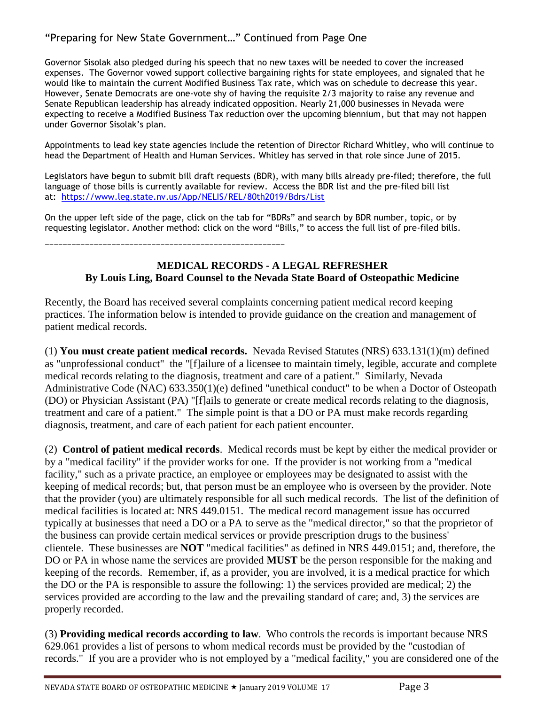#### "Preparing for New State Government…" Continued from Page One

Governor Sisolak also pledged during his speech that no new taxes will be needed to cover the increased expenses. The Governor vowed support collective bargaining rights for state employees, and signaled that he would like to maintain the current Modified Business Tax rate, which was on schedule to decrease this year. However, Senate Democrats are one-vote shy of having the requisite 2/3 majority to raise any revenue and Senate Republican leadership has already indicated opposition. Nearly 21,000 businesses in Nevada were expecting to receive a Modified Business Tax reduction over the upcoming biennium, but that may not happen under Governor Sisolak's plan.

Appointments to lead key state agencies include the retention of Director Richard Whitley, who will continue to head the Department of Health and Human Services. Whitley has served in that role since June of 2015.

Legislators have begun to submit bill draft requests (BDR), with many bills already pre-filed; therefore, the full language of those bills is currently available for review. Access the BDR list and the pre-filed bill list at: <https://www.leg.state.nv.us/App/NELIS/REL/80th2019/Bdrs/List>

On the upper left side of the page, click on the tab for "BDRs" and search by BDR number, topic, or by requesting legislator. Another method: click on the word "Bills," to access the full list of pre-filed bills.

\_\_\_\_\_\_\_\_\_\_\_\_\_\_\_\_\_\_\_\_\_\_\_\_\_\_\_\_\_\_\_\_\_\_\_\_\_\_\_\_\_\_\_\_\_\_\_\_\_\_\_\_\_\_

#### **MEDICAL RECORDS - A LEGAL REFRESHER By Louis Ling, Board Counsel to the Nevada State Board of Osteopathic Medicine**

Recently, the Board has received several complaints concerning patient medical record keeping practices. The information below is intended to provide guidance on the creation and management of patient medical records.

(1) **You must create patient medical records.** Nevada Revised Statutes (NRS) 633.131(1)(m) defined as "unprofessional conduct" the "[f]ailure of a licensee to maintain timely, legible, accurate and complete medical records relating to the diagnosis, treatment and care of a patient." Similarly, Nevada Administrative Code (NAC) 633.350(1)(e) defined "unethical conduct" to be when a Doctor of Osteopath (DO) or Physician Assistant (PA) "[f]ails to generate or create medical records relating to the diagnosis, treatment and care of a patient." The simple point is that a DO or PA must make records regarding diagnosis, treatment, and care of each patient for each patient encounter.

(2) **Control of patient medical records**. Medical records must be kept by either the medical provider or by a "medical facility" if the provider works for one. If the provider is not working from a "medical facility," such as a private practice, an employee or employees may be designated to assist with the keeping of medical records; but, that person must be an employee who is overseen by the provider. Note that the provider (you) are ultimately responsible for all such medical records. The list of the definition of medical facilities is located at: NRS 449.0151. The medical record management issue has occurred typically at businesses that need a DO or a PA to serve as the "medical director," so that the proprietor of the business can provide certain medical services or provide prescription drugs to the business' clientele. These businesses are **NOT** "medical facilities" as defined in NRS 449.0151; and, therefore, the DO or PA in whose name the services are provided **MUST** be the person responsible for the making and keeping of the records. Remember, if, as a provider, you are involved, it is a medical practice for which the DO or the PA is responsible to assure the following: 1) the services provided are medical; 2) the services provided are according to the law and the prevailing standard of care; and, 3) the services are properly recorded.

(3) **Providing medical records according to law**. Who controls the records is important because NRS 629.061 provides a list of persons to whom medical records must be provided by the "custodian of records." If you are a provider who is not employed by a "medical facility," you are considered one of the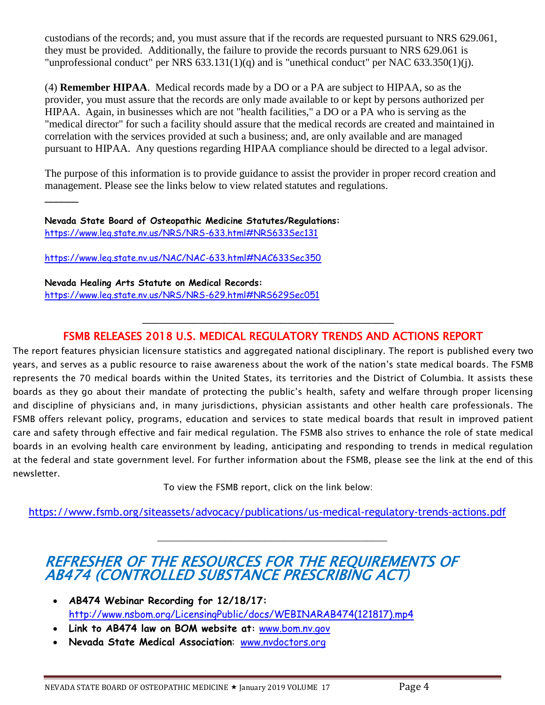custodians of the records; and, you must assure that if the records are requested pursuant to NRS 629.061, they must be provided. Additionally, the failure to provide the records pursuant to NRS 629.061 is "unprofessional conduct" per NRS 633.131(1)(q) and is "unethical conduct" per NAC 633.350(1)(j).

(4) **Remember HIPAA**. Medical records made by a DO or a PA are subject to HIPAA, so as the provider, you must assure that the records are only made available to or kept by persons authorized per HIPAA. Again, in businesses which are not "health facilities," a DO or a PA who is serving as the "medical director" for such a facility should assure that the medical records are created and maintained in correlation with the services provided at such a business; and, are only available and are managed pursuant to HIPAA. Any questions regarding HIPAA compliance should be directed to a legal advisor.

The purpose of this information is to provide guidance to assist the provider in proper record creation and management. Please see the links below to view related statutes and regulations.

**Nevada State Board of Osteopathic Medicine Statutes/Regulations:** <https://www.leg.state.nv.us/NRS/NRS-633.html#NRS633Sec131>

<https://www.leg.state.nv.us/NAC/NAC-633.html#NAC633Sec350>

 $\overline{\phantom{a}}$ 

**Nevada Healing Arts Statute on Medical Records:** <https://www.leg.state.nv.us/NRS/NRS-629.html#NRS629Sec051>

## FSMB RELEASES 2018 U.S. MEDICAL REGULATORY TRENDS AND ACTIONS REPORT

\_\_\_\_\_\_\_\_\_\_\_\_\_\_\_\_\_\_\_\_\_\_\_\_\_\_\_\_\_\_\_\_\_\_\_\_\_\_\_\_\_\_\_\_\_

The report features physician licensure statistics and aggregated national disciplinary. The report is published every two years, and serves as a public resource to raise awareness about the work of the nation's state medical boards. The FSMB represents the 70 medical boards within the United States, its territories and the District of Columbia. It assists these boards as they go about their mandate of protecting the public's health, safety and welfare through proper licensing and discipline of physicians and, in many jurisdictions, physician assistants and other health care professionals. The FSMB offers relevant policy, programs, education and services to state medical boards that result in improved patient care and safety through effective and fair medical regulation. The FSMB also strives to enhance the role of state medical boards in an evolving health care environment by leading, anticipating and responding to trends in medical regulation at the federal and state government level. For further information about the FSMB, please see the link at the end of this newsletter.

To view the FSMB report, click on the link below:

<https://www.fsmb.org/siteassets/advocacy/publications/us-medical-regulatory-trends-actions.pdf>

\_\_\_\_\_\_\_\_\_\_\_\_\_\_\_\_\_\_\_\_\_\_\_\_\_\_\_\_\_\_\_\_\_\_\_\_\_\_\_\_\_\_\_\_\_\_\_

# REFRESHER OF THE RESOURCES FOR THE REQUIREMENTS OF AB474 (CONTROLLED SUBSTANCE PRESCRIBING ACT)

- **AB474 Webinar Recording for 12/18/17:** [http://www.nsbom.org/LicensingPublic/docs/WEBINARAB474\(121817\).mp4](http://www.nsbom.org/LicensingPublic/docs/WEBINARAB474(121817).mp4)
- **Link to AB474 law on BOM website at:** [www.bom.nv.gov](http://www.bom.nv.gov/)
- **Nevada State Medical Association**: [www.nvdoctors.org](http://www.nvdoctors.org/)